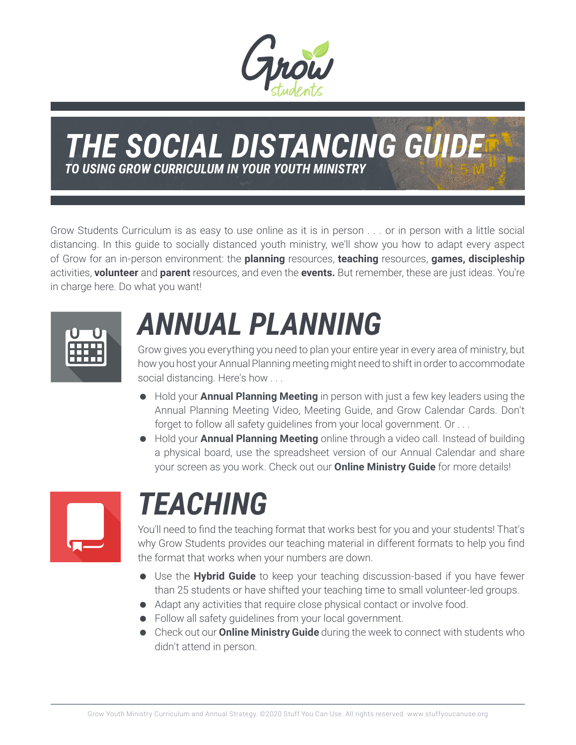

#### *THE SOCIAL DISTANCING GUIDE TO USING GROW CURRICULUM IN YOUR YOUTH MINISTRY*

Grow Students Curriculum is as easy to use online as it is in person . . . or in person with a little social distancing. In this guide to socially distanced youth ministry, we'll show you how to adapt every aspect of Grow for an in-person environment: the **planning** resources, **teaching** resources, **games, discipleship** activities, **volunteer** and **parent** resources, and even the **events.** But remember, these are just ideas. You're in charge here. Do what you want!



# *ANNUAL PLANNING*

Grow gives you everything you need to plan your entire year in every area of ministry, but how you host your Annual Planning meeting might need to shift in order to accommodate social distancing. Here's how . . .

- Hold your **Annual Planning Meeting** in person with just a few key leaders using the Annual Planning Meeting Video, Meeting Guide, and Grow Calendar Cards. Don't forget to follow all safety guidelines from your local government. Or . . .
- Hold your **Annual Planning Meeting** online through a video call. Instead of building a physical board, use the spreadsheet version of our Annual Calendar and share your screen as you work. Check out our **Online Ministry Guide** for more details!



### *TEACHING*

You'll need to find the teaching format that works best for you and your students! That's why Grow Students provides our teaching material in different formats to help you find the format that works when your numbers are down.

- Use the **Hybrid Guide** to keep your teaching discussion-based if you have fewer than 25 students or have shifted your teaching time to small volunteer-led groups.
- Adapt any activities that require close physical contact or involve food.
- Follow all safety guidelines from your local government.
- Check out our **Online Ministry Guide** during the week to connect with students who didn't attend in person.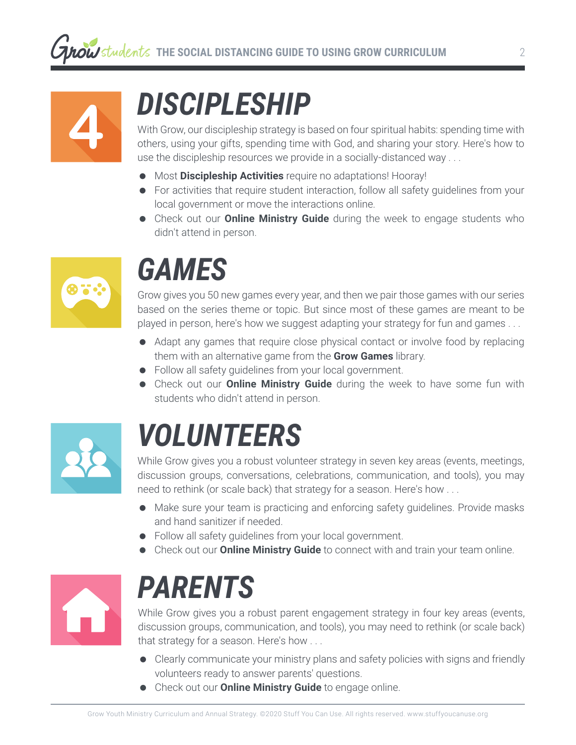

# *DISCIPLESHIP*

With Grow, our discipleship strategy is based on four spiritual habits: spending time with others, using your gifts, spending time with God, and sharing your story. Here's how to use the discipleship resources we provide in a socially-distanced way . . .

- Most **Discipleship Activities** require no adaptations! Hooray!
- For activities that require student interaction, follow all safety guidelines from your local government or move the interactions online.
- Check out our **Online Ministry Guide** during the week to engage students who didn't attend in person.



### *GAMES*

Grow gives you 50 new games every year, and then we pair those games with our series based on the series theme or topic. But since most of these games are meant to be played in person, here's how we suggest adapting your strategy for fun and games . . .

- Adapt any games that require close physical contact or involve food by replacing them with an alternative game from the **Grow Games** library.
- Follow all safety guidelines from your local government.
- Check out our **Online Ministry Guide** during the week to have some fun with students who didn't attend in person.



### *VOLUNTEERS*

While Grow gives you a robust volunteer strategy in seven key areas (events, meetings, discussion groups, conversations, celebrations, communication, and tools), you may need to rethink (or scale back) that strategy for a season. Here's how . . .

- Make sure your team is practicing and enforcing safety guidelines. Provide masks and hand sanitizer if needed.
- Follow all safety guidelines from your local government.
- Check out our **Online Ministry Guide** to connect with and train your team online.



## *PARENTS*

While Grow gives you a robust parent engagement strategy in four key areas (events, discussion groups, communication, and tools), you may need to rethink (or scale back) that strategy for a season. Here's how . . .

- Clearly communicate your ministry plans and safety policies with signs and friendly volunteers ready to answer parents' questions.
- Check out our **Online Ministry Guide** to engage online.